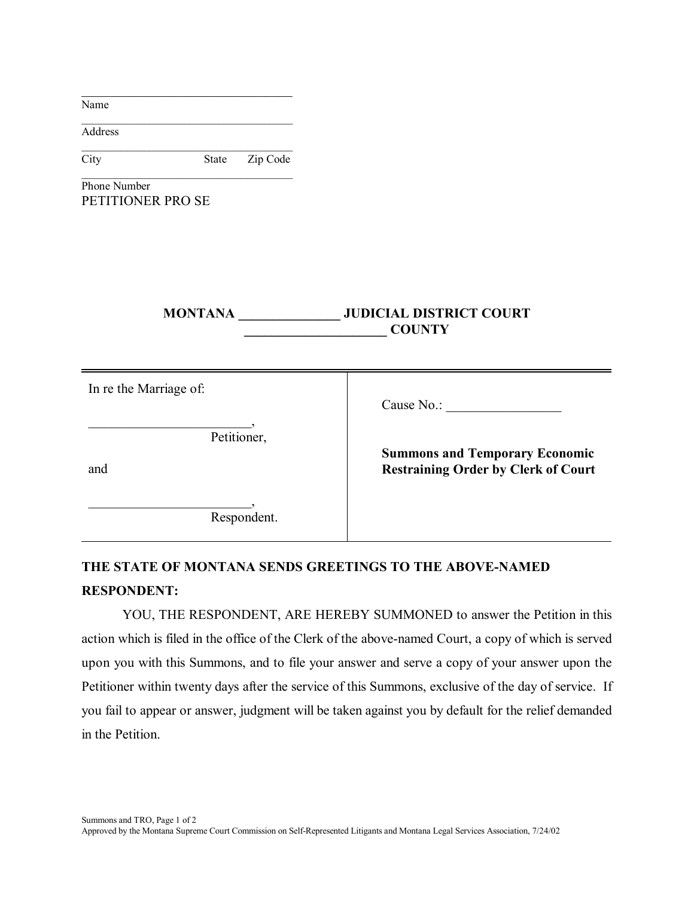| Name                                         |       |             |                                                                                     |
|----------------------------------------------|-------|-------------|-------------------------------------------------------------------------------------|
| Address                                      |       |             |                                                                                     |
| City                                         | State | Zip Code    |                                                                                     |
| Phone Number<br>PETITIONER PRO SE            |       |             |                                                                                     |
|                                              |       |             | MONTANA _________________ JUDICIAL DISTRICT COURT<br><b>COUNTY</b>                  |
| In re the Marriage of:<br>Petitioner,<br>and |       |             | Cause No.:                                                                          |
|                                              |       |             | <b>Summons and Temporary Economic</b><br><b>Restraining Order by Clerk of Court</b> |
|                                              |       | Respondent. |                                                                                     |

## **THE STATE OF MONTANA SENDS GREETINGS TO THE ABOVE-NAMED RESPONDENT:**

YOU, THE RESPONDENT, ARE HEREBY SUMMONED to answer the Petition in this action which is filed in the office of the Clerk of the above-named Court, a copy of which is served upon you with this Summons, and to file your answer and serve a copy of your answer upon the Petitioner within twenty days after the service of this Summons, exclusive of the day of service. If you fail to appear or answer, judgment will be taken against you by default for the relief demanded in the Petition.